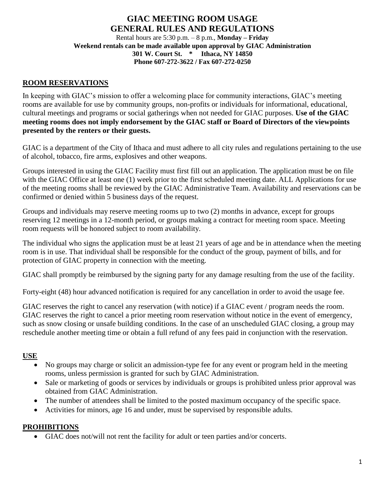# **GIAC MEETING ROOM USAGE GENERAL RULES AND REGULATIONS**

Rental hours are 5:30 p.m. – 8 p.m., **Monday – Friday Weekend rentals can be made available upon approval by GIAC Administration 301 W. Court St. \* Ithaca, NY 14850 Phone 607-272-3622 / Fax 607-272-0250**

### **ROOM RESERVATIONS**

In keeping with GIAC's mission to offer a welcoming place for community interactions, GIAC's meeting rooms are available for use by community groups, non-profits or individuals for informational, educational, cultural meetings and programs or social gatherings when not needed for GIAC purposes. **Use of the GIAC meeting rooms does not imply endorsement by the GIAC staff or Board of Directors of the viewpoints presented by the renters or their guests.**

GIAC is a department of the City of Ithaca and must adhere to all city rules and regulations pertaining to the use of alcohol, tobacco, fire arms, explosives and other weapons.

Groups interested in using the GIAC Facility must first fill out an application. The application must be on file with the GIAC Office at least one (1) week prior to the first scheduled meeting date. ALL Applications for use of the meeting rooms shall be reviewed by the GIAC Administrative Team. Availability and reservations can be confirmed or denied within 5 business days of the request.

Groups and individuals may reserve meeting rooms up to two (2) months in advance, except for groups reserving 12 meetings in a 12-month period, or groups making a contract for meeting room space. Meeting room requests will be honored subject to room availability.

The individual who signs the application must be at least 21 years of age and be in attendance when the meeting room is in use. That individual shall be responsible for the conduct of the group, payment of bills, and for protection of GIAC property in connection with the meeting.

GIAC shall promptly be reimbursed by the signing party for any damage resulting from the use of the facility.

Forty-eight (48) hour advanced notification is required for any cancellation in order to avoid the usage fee.

GIAC reserves the right to cancel any reservation (with notice) if a GIAC event / program needs the room. GIAC reserves the right to cancel a prior meeting room reservation without notice in the event of emergency, such as snow closing or unsafe building conditions. In the case of an unscheduled GIAC closing, a group may reschedule another meeting time or obtain a full refund of any fees paid in conjunction with the reservation.

#### **USE**

- No groups may charge or solicit an admission-type fee for any event or program held in the meeting rooms, unless permission is granted for such by GIAC Administration.
- Sale or marketing of goods or services by individuals or groups is prohibited unless prior approval was obtained from GIAC Administration.
- The number of attendees shall be limited to the posted maximum occupancy of the specific space.
- Activities for minors, age 16 and under, must be supervised by responsible adults.

#### **PROHIBITIONS**

GIAC does not/will not rent the facility for adult or teen parties and/or concerts.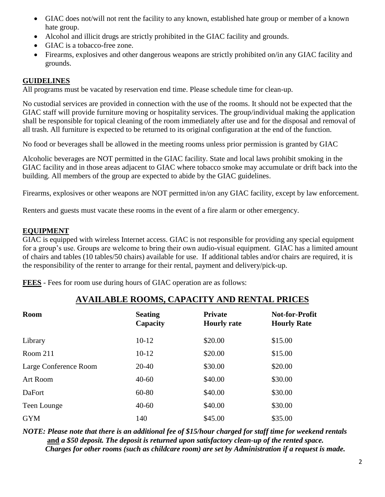- GIAC does not/will not rent the facility to any known, established hate group or member of a known hate group.
- Alcohol and illicit drugs are strictly prohibited in the GIAC facility and grounds.
- GIAC is a tobacco-free zone.
- Firearms, explosives and other dangerous weapons are strictly prohibited on/in any GIAC facility and grounds.

#### **GUIDELINES**

All programs must be vacated by reservation end time. Please schedule time for clean-up.

No custodial services are provided in connection with the use of the rooms. It should not be expected that the GIAC staff will provide furniture moving or hospitality services. The group/individual making the application shall be responsible for topical cleaning of the room immediately after use and for the disposal and removal of all trash. All furniture is expected to be returned to its original configuration at the end of the function.

No food or beverages shall be allowed in the meeting rooms unless prior permission is granted by GIAC

Alcoholic beverages are NOT permitted in the GIAC facility. State and local laws prohibit smoking in the GIAC facility and in those areas adjacent to GIAC where tobacco smoke may accumulate or drift back into the building. All members of the group are expected to abide by the GIAC guidelines.

Firearms, explosives or other weapons are NOT permitted in/on any GIAC facility, except by law enforcement.

Renters and guests must vacate these rooms in the event of a fire alarm or other emergency.

#### **EQUIPMENT**

GIAC is equipped with wireless Internet access. GIAC is not responsible for providing any special equipment for a group's use. Groups are welcome to bring their own audio-visual equipment. GIAC has a limited amount of chairs and tables (10 tables/50 chairs) available for use. If additional tables and/or chairs are required, it is the responsibility of the renter to arrange for their rental, payment and delivery/pick-up.

**FEES** - Fees for room use during hours of GIAC operation are as follows:

# **AVAILABLE ROOMS, CAPACITY AND RENTAL PRICES**

| <b>Room</b>           | <b>Seating</b><br>Capacity | <b>Private</b><br><b>Hourly rate</b> | <b>Not-for-Profit</b><br><b>Hourly Rate</b> |
|-----------------------|----------------------------|--------------------------------------|---------------------------------------------|
| Library               | $10-12$                    | \$20.00                              | \$15.00                                     |
| Room 211              | $10-12$                    | \$20.00                              | \$15.00                                     |
| Large Conference Room | 20-40                      | \$30.00                              | \$20.00                                     |
| <b>Art Room</b>       | $40 - 60$                  | \$40.00                              | \$30.00                                     |
| <b>DaFort</b>         | 60-80                      | \$40.00                              | \$30.00                                     |
| Teen Lounge           | $40 - 60$                  | \$40.00                              | \$30.00                                     |
| <b>GYM</b>            | 140                        | \$45.00                              | \$35.00                                     |

*NOTE: Please note that there is an additional fee of \$15/hour charged for staff time for weekend rentals* **and** *a \$50 deposit. The deposit is returned upon satisfactory clean-up of the rented space. Charges for other rooms (such as childcare room) are set by Administration if a request is made.*